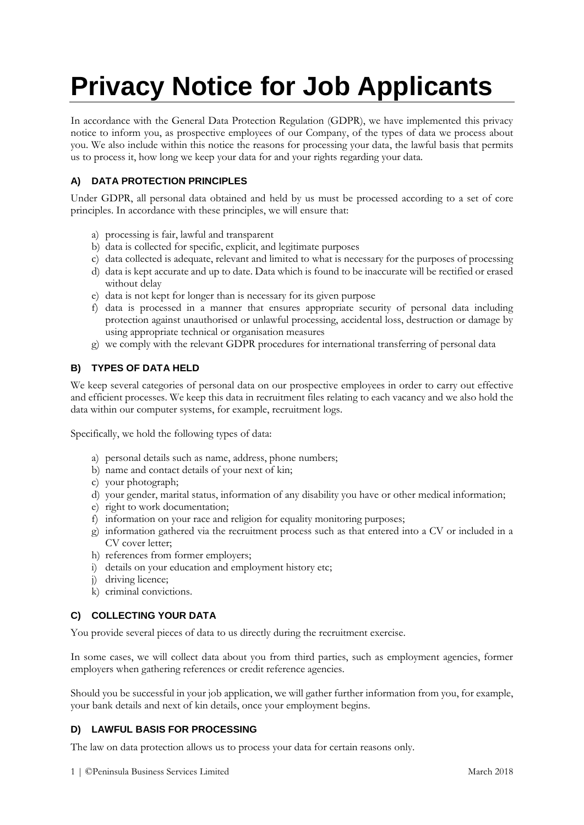# **Privacy Notice for Job Applicants**

In accordance with the General Data Protection Regulation (GDPR), we have implemented this privacy notice to inform you, as prospective employees of our Company, of the types of data we process about you. We also include within this notice the reasons for processing your data, the lawful basis that permits us to process it, how long we keep your data for and your rights regarding your data.

# **A) DATA PROTECTION PRINCIPLES**

Under GDPR, all personal data obtained and held by us must be processed according to a set of core principles. In accordance with these principles, we will ensure that:

- a) processing is fair, lawful and transparent
- b) data is collected for specific, explicit, and legitimate purposes
- c) data collected is adequate, relevant and limited to what is necessary for the purposes of processing
- d) data is kept accurate and up to date. Data which is found to be inaccurate will be rectified or erased without delay
- e) data is not kept for longer than is necessary for its given purpose
- f) data is processed in a manner that ensures appropriate security of personal data including protection against unauthorised or unlawful processing, accidental loss, destruction or damage by using appropriate technical or organisation measures
- g) we comply with the relevant GDPR procedures for international transferring of personal data

## **B) TYPES OF DATA HELD**

We keep several categories of personal data on our prospective employees in order to carry out effective and efficient processes. We keep this data in recruitment files relating to each vacancy and we also hold the data within our computer systems, for example, recruitment logs.

Specifically, we hold the following types of data:

- a) personal details such as name, address, phone numbers;
- b) name and contact details of your next of kin;
- c) your photograph;
- d) your gender, marital status, information of any disability you have or other medical information;
- e) right to work documentation;
- f) information on your race and religion for equality monitoring purposes;
- g) information gathered via the recruitment process such as that entered into a CV or included in a CV cover letter;
- h) references from former employers;
- i) details on your education and employment history etc;
- j) driving licence;
- k) criminal convictions.

#### **C) COLLECTING YOUR DATA**

You provide several pieces of data to us directly during the recruitment exercise.

In some cases, we will collect data about you from third parties, such as employment agencies, former employers when gathering references or credit reference agencies.

Should you be successful in your job application, we will gather further information from you, for example, your bank details and next of kin details, once your employment begins.

# **D) LAWFUL BASIS FOR PROCESSING**

The law on data protection allows us to process your data for certain reasons only.

1 | ©Peninsula Business Services Limited March 2018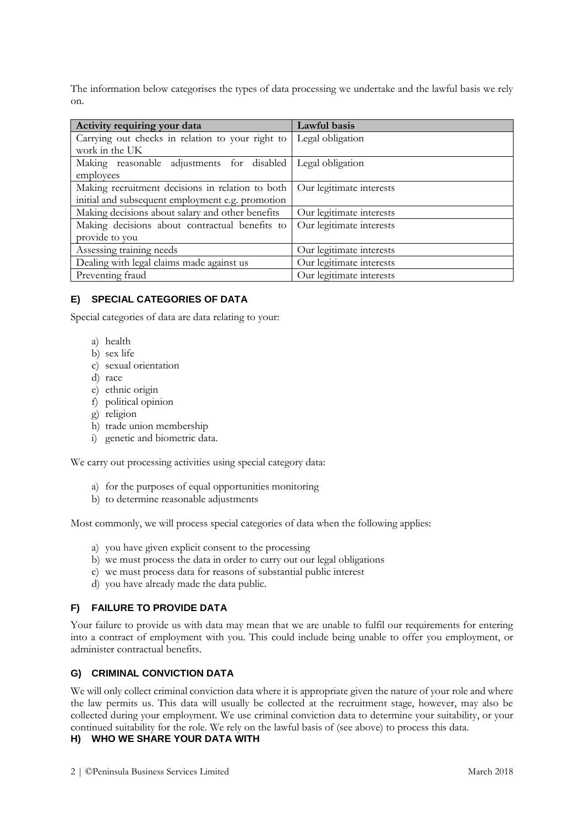The information below categorises the types of data processing we undertake and the lawful basis we rely on.

| Activity requiring your data                     | Lawful basis             |
|--------------------------------------------------|--------------------------|
| Carrying out checks in relation to your right to | Legal obligation         |
| work in the UK                                   |                          |
| Making reasonable adjustments for disabled       | Legal obligation         |
| employees                                        |                          |
| Making recruitment decisions in relation to both | Our legitimate interests |
| initial and subsequent employment e.g. promotion |                          |
| Making decisions about salary and other benefits | Our legitimate interests |
| Making decisions about contractual benefits to   | Our legitimate interests |
| provide to you                                   |                          |
| Assessing training needs                         | Our legitimate interests |
| Dealing with legal claims made against us        | Our legitimate interests |
| Preventing fraud                                 | Our legitimate interests |

## **E) SPECIAL CATEGORIES OF DATA**

Special categories of data are data relating to your:

- a) health
- b) sex life
- c) sexual orientation
- d) race
- e) ethnic origin
- f) political opinion
- g) religion
- h) trade union membership
- i) genetic and biometric data.

We carry out processing activities using special category data:

- a) for the purposes of equal opportunities monitoring
- b) to determine reasonable adjustments

Most commonly, we will process special categories of data when the following applies:

- a) you have given explicit consent to the processing
- b) we must process the data in order to carry out our legal obligations
- c) we must process data for reasons of substantial public interest
- d) you have already made the data public.

# **F) FAILURE TO PROVIDE DATA**

Your failure to provide us with data may mean that we are unable to fulfil our requirements for entering into a contract of employment with you. This could include being unable to offer you employment, or administer contractual benefits.

## **G) CRIMINAL CONVICTION DATA**

We will only collect criminal conviction data where it is appropriate given the nature of your role and where the law permits us. This data will usually be collected at the recruitment stage, however, may also be collected during your employment. We use criminal conviction data to determine your suitability, or your continued suitability for the role. We rely on the lawful basis of (see above) to process this data.

# **H) WHO WE SHARE YOUR DATA WITH**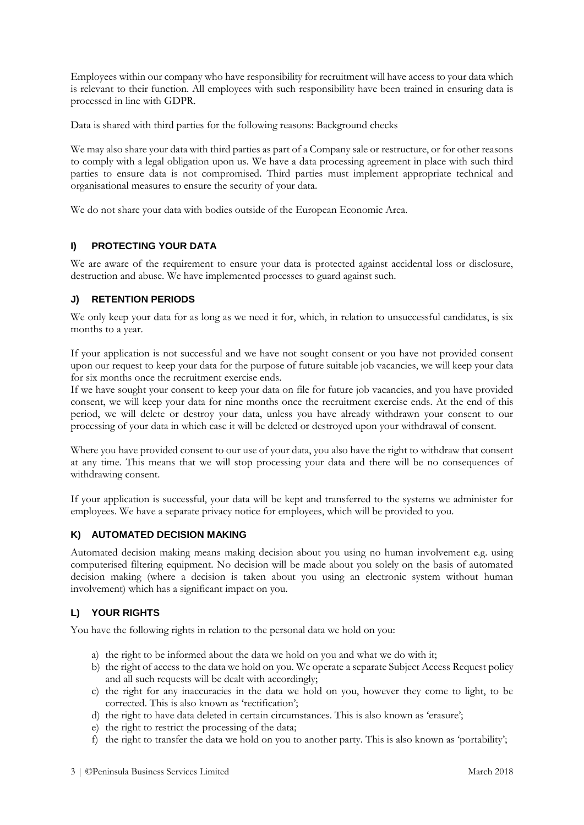Employees within our company who have responsibility for recruitment will have access to your data which is relevant to their function. All employees with such responsibility have been trained in ensuring data is processed in line with GDPR.

Data is shared with third parties for the following reasons: Background checks

We may also share your data with third parties as part of a Company sale or restructure, or for other reasons to comply with a legal obligation upon us. We have a data processing agreement in place with such third parties to ensure data is not compromised. Third parties must implement appropriate technical and organisational measures to ensure the security of your data.

We do not share your data with bodies outside of the European Economic Area.

#### **I) PROTECTING YOUR DATA**

We are aware of the requirement to ensure your data is protected against accidental loss or disclosure, destruction and abuse. We have implemented processes to guard against such.

## **J) RETENTION PERIODS**

We only keep your data for as long as we need it for, which, in relation to unsuccessful candidates, is six months to a year.

If your application is not successful and we have not sought consent or you have not provided consent upon our request to keep your data for the purpose of future suitable job vacancies, we will keep your data for six months once the recruitment exercise ends.

If we have sought your consent to keep your data on file for future job vacancies, and you have provided consent, we will keep your data for nine months once the recruitment exercise ends. At the end of this period, we will delete or destroy your data, unless you have already withdrawn your consent to our processing of your data in which case it will be deleted or destroyed upon your withdrawal of consent.

Where you have provided consent to our use of your data, you also have the right to withdraw that consent at any time. This means that we will stop processing your data and there will be no consequences of withdrawing consent.

If your application is successful, your data will be kept and transferred to the systems we administer for employees. We have a separate privacy notice for employees, which will be provided to you.

#### **K) AUTOMATED DECISION MAKING**

Automated decision making means making decision about you using no human involvement e.g. using computerised filtering equipment. No decision will be made about you solely on the basis of automated decision making (where a decision is taken about you using an electronic system without human involvement) which has a significant impact on you.

# **L) YOUR RIGHTS**

You have the following rights in relation to the personal data we hold on you:

- a) the right to be informed about the data we hold on you and what we do with it;
- b) the right of access to the data we hold on you. We operate a separate Subject Access Request policy and all such requests will be dealt with accordingly;
- c) the right for any inaccuracies in the data we hold on you, however they come to light, to be corrected. This is also known as 'rectification';
- d) the right to have data deleted in certain circumstances. This is also known as 'erasure';
- e) the right to restrict the processing of the data;
- f) the right to transfer the data we hold on you to another party. This is also known as 'portability';